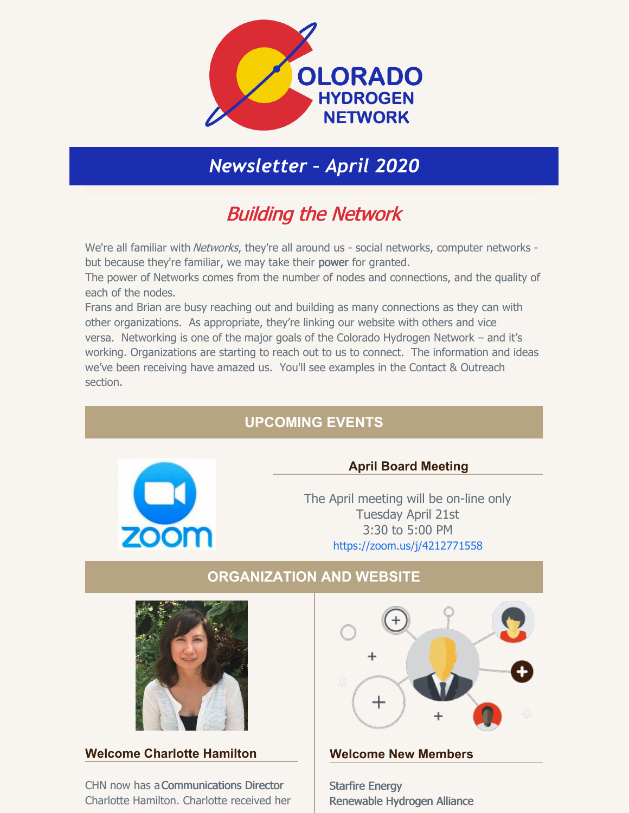

# *Newsletter – April 2020*

# Building the Network

We're all familiar with Networks, they're all around us - social networks, computer networks but because they're familiar, we may take their power for granted.

The power of Networks comes from the number of nodes and connections, and the quality of each of the nodes.

Frans and Brian are busy reaching out and building as many connections as they can with other organizations. As appropriate, they're linking our website with others and vice versa. Networking is one of the major goals of the Colorado Hydrogen Network – and it's working. Organizations are starting to reach out to us to connect. The information and ideas we've been receiving have amazed us. You'll see examples in the Contact & Outreach section.

# **UPCOMING EVENTS**



### **April Board Meeting**

The April meeting will be on-line only Tuesday April 21st 3:30 to 5:00 PM <https://zoom.us/j/4212771558>

# **ORGANIZATION AND WEBSITE**



#### **Welcome Charlotte Hamilton**

CHN now has aCommunications Director Charlotte Hamilton. Charlotte received her



#### **Welcome New Members**

[Starfire](https://www.starfireenergy.com/) Energy [Renewable](https://renewableh2.org/) Hydrogen Alliance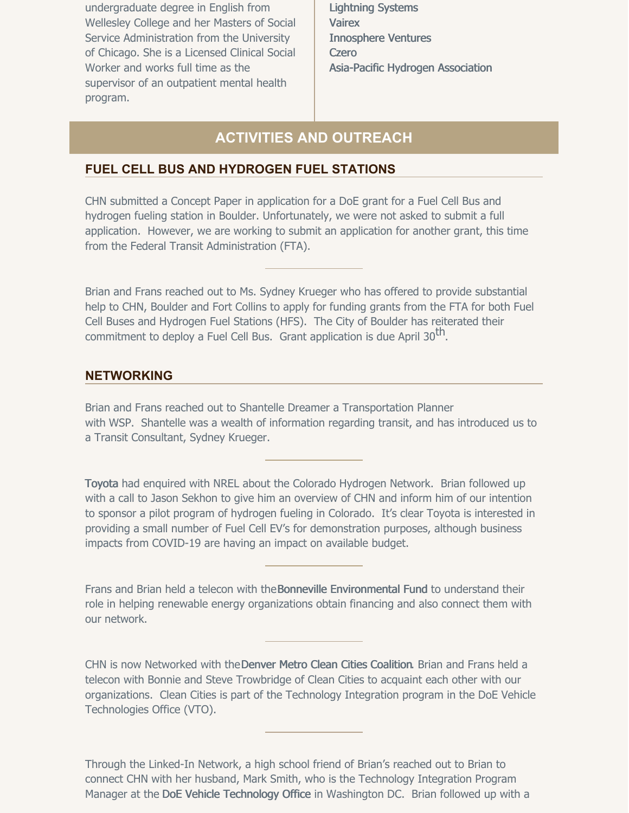undergraduate degree in English from Wellesley College and her Masters of Social Service Administration from the University of Chicago. She is a Licensed Clinical Social Worker and works full time as the supervisor of an outpatient mental health program.

[Lightning](https://lightningsystems.com/) Systems **[Vairex](https://vairex.com/)** [Innosphere](https://innosphere.org/) Ventures **[Czero](https://czero-solutions.com/)** [Asia-Pacific](http://apac-hydrogen.org/) Hydrogen Association

## **ACTIVITIES AND OUTREACH**

#### **FUEL CELL BUS AND HYDROGEN FUEL STATIONS**

CHN submitted a Concept Paper in application for a DoE grant for a Fuel Cell Bus and hydrogen fueling station in Boulder. Unfortunately, we were not asked to submit a full application. However, we are working to submit an application for another grant, this time from the Federal Transit Administration (FTA).

Brian and Frans reached out to Ms. Sydney Krueger who has offered to provide substantial help to CHN, Boulder and Fort Collins to apply for funding grants from the FTA for both Fuel Cell Buses and Hydrogen Fuel Stations (HFS). The City of Boulder has reiterated their commitment to deploy a Fuel Cell Bus. Grant application is due April 30<sup>th</sup>.

#### **NETWORKING**

Brian and Frans reached out to Shantelle Dreamer a Transportation Planner with [WSP](http://www.wsp.com/). Shantelle was a wealth of information regarding transit, and has introduced us to a Transit Consultant, Sydney Krueger.

Toyota had enquired with NREL about the Colorado Hydrogen Network. Brian followed up with a call to Jason Sekhon to give him an overview of CHN and inform him of our intention to sponsor a pilot program of hydrogen fueling in Colorado. It's clear Toyota is interested in providing a small number of Fuel Cell EV's for demonstration purposes, although business impacts from COVID-19 are having an impact on available budget.

Frans and Brian held a telecon with theBonneville [Environmental](http://b-e-f.org/) Fund to understand their role in helping renewable energy organizations obtain financing and also connect them with our network.

CHN is now Networked with theDenver Metro Clean Cities [Coalition](https://denvermetrocleancities.org/). Brian and Frans held a telecon with Bonnie and Steve Trowbridge of Clean Cities to acquaint each other with our organizations. Clean Cities is part of the Technology Integration program in the DoE Vehicle Technologies Office (VTO).

Through the Linked-In Network, a high school friend of Brian's reached out to Brian to connect CHN with her husband, Mark Smith, who is the Technology Integration Program Manager at the DoE Vehicle [Technology](https://cleancities.energy.gov/contacts/) Office in Washington DC. Brian followed up with a